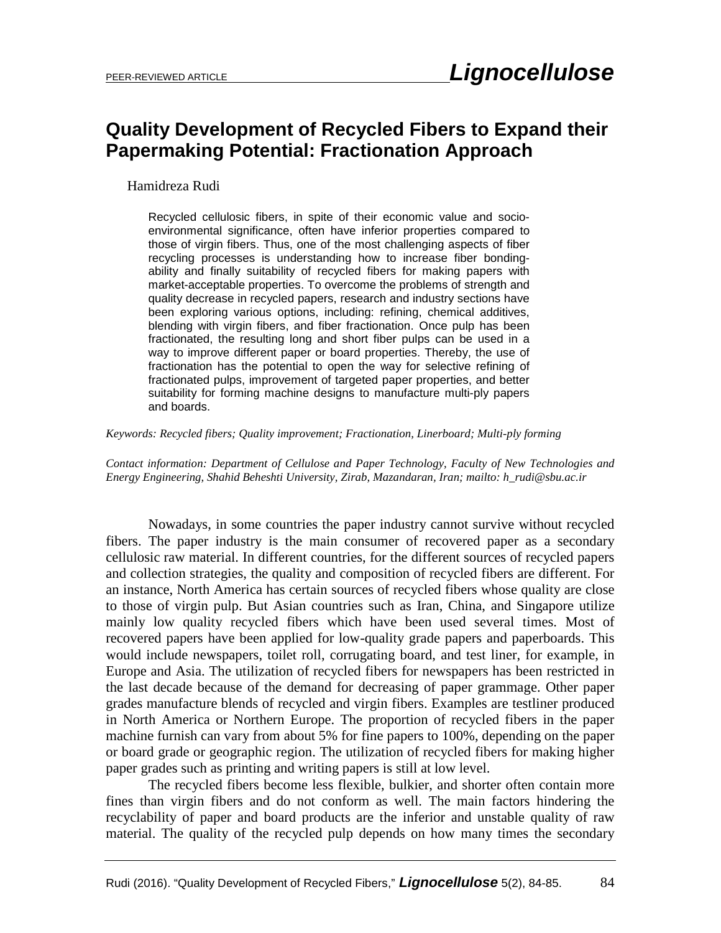## **Quality Development of Recycled Fibers to Expand their Papermaking Potential: Fractionation Approach**

## Hamidreza Rudi

Recycled cellulosic fibers, in spite of their economic value and socioenvironmental significance, often have inferior properties compared to those of virgin fibers. Thus, one of the most challenging aspects of fiber recycling processes is understanding how to increase fiber bondingability and finally suitability of recycled fibers for making papers with market-acceptable properties. To overcome the problems of strength and quality decrease in recycled papers, research and industry sections have been exploring various options, including: refining, chemical additives, blending with virgin fibers, and fiber fractionation. Once pulp has been fractionated, the resulting long and short fiber pulps can be used in a way to improve different paper or board properties. Thereby, the use of fractionation has the potential to open the way for selective refining of fractionated pulps, improvement of targeted paper properties, and better suitability for forming machine designs to manufacture multi-ply papers and boards.

*Keywords: Recycled fibers; Quality improvement; Fractionation, Linerboard; Multi-ply forming*

*Contact information: Department of Cellulose and Paper Technology, Faculty of New Technologies and Energy Engineering, Shahid Beheshti University, Zirab, Mazandaran, Iran; mailto: h\_rudi@sbu.ac.ir*

Nowadays, in some countries the paper industry cannot survive without recycled fibers. The paper industry is the main consumer of recovered paper as a secondary cellulosic raw material. In different countries, for the different sources of recycled papers and collection strategies, the quality and composition of recycled fibers are different. For an instance, North America has certain sources of recycled fibers whose quality are close to those of virgin pulp. But Asian countries such as Iran, China, and Singapore utilize mainly low quality recycled fibers which have been used several times. Most of recovered papers have been applied for low-quality grade papers and paperboards. This would include newspapers, toilet roll, corrugating board, and test liner, for example, in Europe and Asia. The utilization of recycled fibers for newspapers has been restricted in the last decade because of the demand for decreasing of paper grammage. Other paper grades manufacture blends of recycled and virgin fibers. Examples are testliner produced in North America or Northern Europe. The proportion of recycled fibers in the paper machine furnish can vary from about 5% for fine papers to 100%, depending on the paper or board grade or geographic region. The utilization of recycled fibers for making higher paper grades such as printing and writing papers is still at low level.

The recycled fibers become less flexible, bulkier, and shorter often contain more fines than virgin fibers and do not conform as well. The main factors hindering the recyclability of paper and board products are the inferior and unstable quality of raw material. The quality of the recycled pulp depends on how many times the secondary